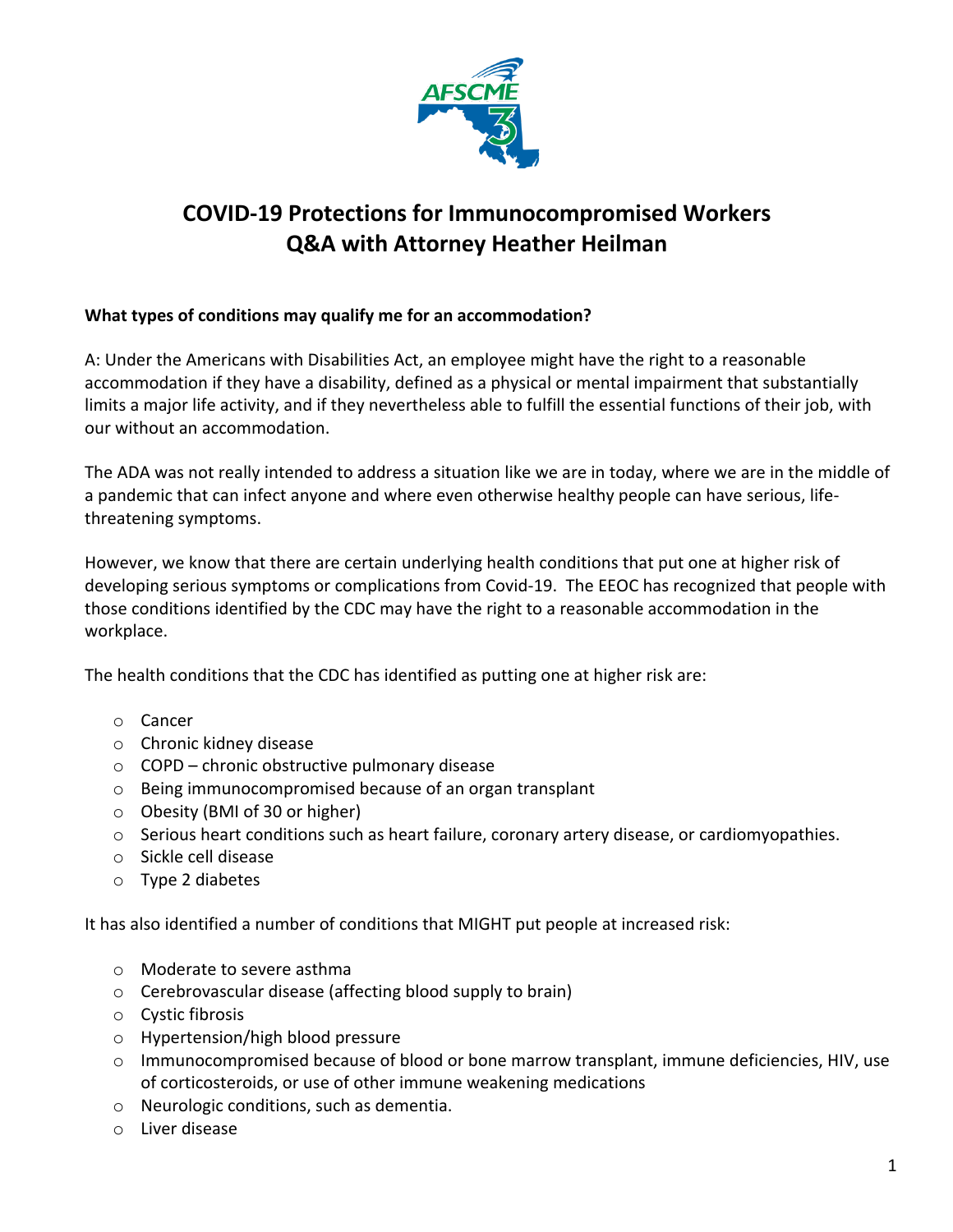

# **COVID-19 Protections for Immunocompromised Workers Q&A with Attorney Heather Heilman**

## **What types of conditions may qualify me for an accommodation?**

A: Under the Americans with Disabilities Act, an employee might have the right to a reasonable accommodation if they have a disability, defined as a physical or mental impairment that substantially limits a major life activity, and if they nevertheless able to fulfill the essential functions of their job, with our without an accommodation.

The ADA was not really intended to address a situation like we are in today, where we are in the middle of a pandemic that can infect anyone and where even otherwise healthy people can have serious, lifethreatening symptoms.

However, we know that there are certain underlying health conditions that put one at higher risk of developing serious symptoms or complications from Covid-19. The EEOC has recognized that people with those conditions identified by the CDC may have the right to a reasonable accommodation in the workplace.

The health conditions that the CDC has identified as putting one at higher risk are:

- o Cancer
- o Chronic kidney disease
- o COPD chronic obstructive pulmonary disease
- o Being immunocompromised because of an organ transplant
- o Obesity (BMI of 30 or higher)
- $\circ$  Serious heart conditions such as heart failure, coronary artery disease, or cardiomyopathies.
- o Sickle cell disease
- o Type 2 diabetes

It has also identified a number of conditions that MIGHT put people at increased risk:

- o Moderate to severe asthma
- o Cerebrovascular disease (affecting blood supply to brain)
- o Cystic fibrosis
- o Hypertension/high blood pressure
- o Immunocompromised because of blood or bone marrow transplant, immune deficiencies, HIV, use of corticosteroids, or use of other immune weakening medications
- o Neurologic conditions, such as dementia.
- o Liver disease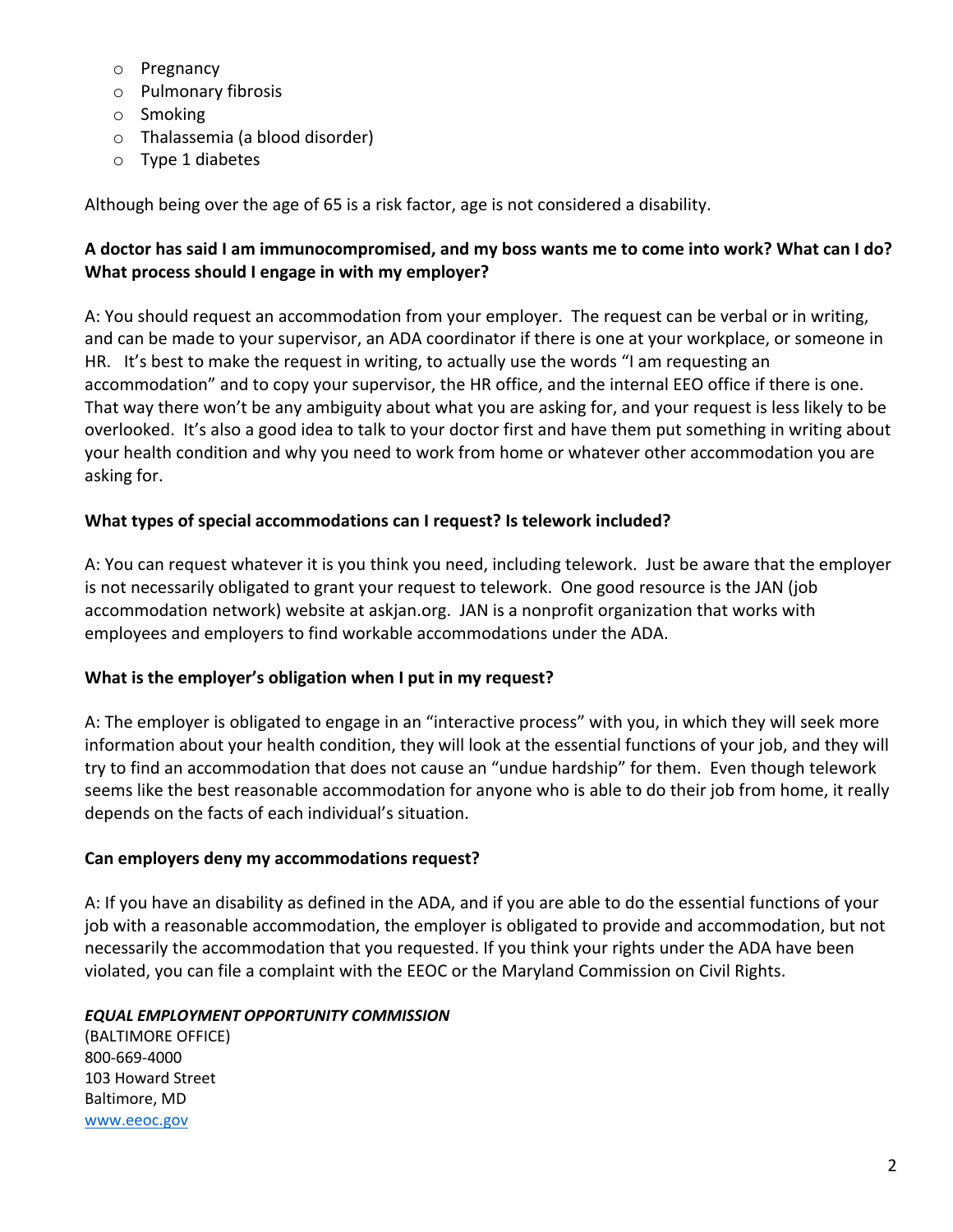- o Pregnancy
- o Pulmonary fibrosis
- o Smoking
- o Thalassemia (a blood disorder)
- o Type 1 diabetes

Although being over the age of 65 is a risk factor, age is not considered a disability.

## **A doctor has said I am immunocompromised, and my boss wants me to come into work? What can I do? What process should I engage in with my employer?**

A: You should request an accommodation from your employer. The request can be verbal or in writing, and can be made to your supervisor, an ADA coordinator if there is one at your workplace, or someone in HR. It's best to make the request in writing, to actually use the words "I am requesting an accommodation" and to copy your supervisor, the HR office, and the internal EEO office if there is one. That way there won't be any ambiguity about what you are asking for, and your request is less likely to be overlooked. It's also a good idea to talk to your doctor first and have them put something in writing about your health condition and why you need to work from home or whatever other accommodation you are asking for.

## **What types of special accommodations can I request? Is telework included?**

A: You can request whatever it is you think you need, including telework. Just be aware that the employer is not necessarily obligated to grant your request to telework. One good resource is the JAN (job accommodation network) website at askjan.org. JAN is a nonprofit organization that works with employees and employers to find workable accommodations under the ADA.

#### **What is the employer's obligation when I put in my request?**

A: The employer is obligated to engage in an "interactive process" with you, in which they will seek more information about your health condition, they will look at the essential functions of your job, and they will try to find an accommodation that does not cause an "undue hardship" for them. Even though telework seems like the best reasonable accommodation for anyone who is able to do their job from home, it really depends on the facts of each individual's situation.

#### **Can employers deny my accommodations request?**

A: If you have an disability as defined in the ADA, and if you are able to do the essential functions of your job with a reasonable accommodation, the employer is obligated to provide and accommodation, but not necessarily the accommodation that you requested. If you think your rights under the ADA have been violated, you can file a complaint with the EEOC or the Maryland Commission on Civil Rights.

#### *EQUAL EMPLOYMENT OPPORTUNITY COMMISSION*

(BALTIMORE OFFICE) 800-669-4000 103 Howard Street Baltimore, MD www.eeoc.gov